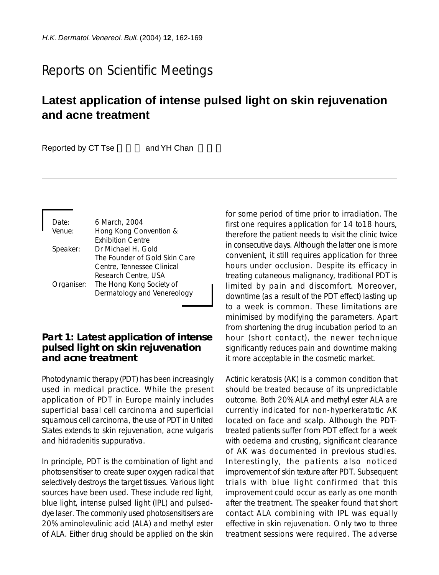# Reports on Scientific Meetings

## **Latest application of intense pulsed light on skin rejuvenation and acne treatment**

Reported by CT Tse and YH Chan

| Date:      | 6 March, 2004                 |
|------------|-------------------------------|
| Venue:     | Hong Kong Convention &        |
|            | <b>Exhibition Centre</b>      |
| Speaker:   | Dr Michael H. Gold            |
|            | The Founder of Gold Skin Care |
|            | Centre, Tennessee Clinical    |
|            | Research Centre, USA          |
| Organiser: | The Hong Kong Society of      |
|            | Dermatology and Venereology   |

#### **Part 1: Latest application of intense pulsed light on skin rejuvenation and acne treatment**

Photodynamic therapy (PDT) has been increasingly used in medical practice. While the present application of PDT in Europe mainly includes superficial basal cell carcinoma and superficial squamous cell carcinoma, the use of PDT in United States extends to skin rejuvenation, acne vulgaris and hidradenitis suppurativa.

In principle, PDT is the combination of light and photosensitiser to create super oxygen radical that selectively destroys the target tissues. Various light sources have been used. These include red light, blue light, intense pulsed light (IPL) and pulseddye laser. The commonly used photosensitisers are 20% aminolevulinic acid (ALA) and methyl ester of ALA. Either drug should be applied on the skin

for some period of time prior to irradiation. The first one requires application for 14 to18 hours, therefore the patient needs to visit the clinic twice in consecutive days. Although the latter one is more convenient, it still requires application for three hours under occlusion. Despite its efficacy in treating cutaneous malignancy, traditional PDT is limited by pain and discomfort. Moreover, downtime (as a result of the PDT effect) lasting up to a week is common. These limitations are minimised by modifying the parameters. Apart from shortening the drug incubation period to an hour (short contact), the newer technique significantly reduces pain and downtime making it more acceptable in the cosmetic market.

Actinic keratosis (AK) is a common condition that should be treated because of its unpredictable outcome. Both 20% ALA and methyl ester ALA are currently indicated for non-hyperkeratotic AK located on face and scalp. Although the PDTtreated patients suffer from PDT effect for a week with oedema and crusting, significant clearance of AK was documented in previous studies. Interestingly, the patients also noticed improvement of skin texture after PDT. Subsequent trials with blue light confirmed that this improvement could occur as early as one month after the treatment. The speaker found that short contact ALA combining with IPL was equally effective in skin rejuvenation. Only two to three treatment sessions were required. The adverse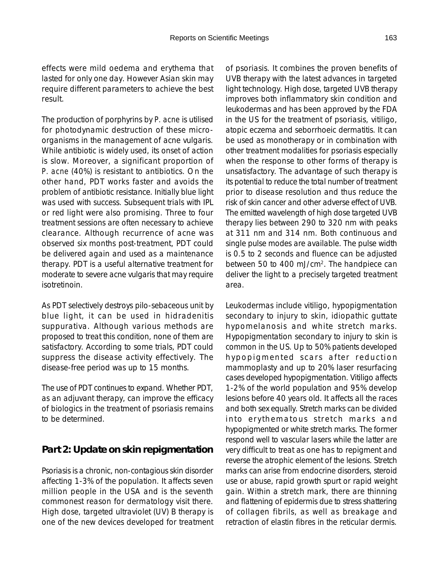effects were mild oedema and erythema that lasted for only one day. However Asian skin may require different parameters to achieve the best result.

The production of porphyrins by *P. acne* is utilised for photodynamic destruction of these microorganisms in the management of acne vulgaris. While antibiotic is widely used, its onset of action is slow. Moreover, a significant proportion of *P. acne* (40%) is resistant to antibiotics. On the other hand, PDT works faster and avoids the problem of antibiotic resistance. Initially blue light was used with success. Subsequent trials with IPL or red light were also promising. Three to four treatment sessions are often necessary to achieve clearance. Although recurrence of acne was observed six months post-treatment, PDT could be delivered again and used as a maintenance therapy. PDT is a useful alternative treatment for moderate to severe acne vulgaris that may require isotretinoin.

As PDT selectively destroys pilo-sebaceous unit by blue light, it can be used in hidradenitis suppurativa. Although various methods are proposed to treat this condition, none of them are satisfactory. According to some trials, PDT could suppress the disease activity effectively. The disease-free period was up to 15 months.

The use of PDT continues to expand. Whether PDT, as an adjuvant therapy, can improve the efficacy of biologics in the treatment of psoriasis remains to be determined.

### **Part 2: Update on skin repigmentation**

Psoriasis is a chronic, non-contagious skin disorder affecting 1-3% of the population. It affects seven million people in the USA and is the seventh commonest reason for dermatology visit there. High dose, targeted ultraviolet (UV) B therapy is one of the new devices developed for treatment

of psoriasis. It combines the proven benefits of UVB therapy with the latest advances in targeted light technology. High dose, targeted UVB therapy improves both inflammatory skin condition and leukodermas and has been approved by the FDA in the US for the treatment of psoriasis, vitiligo, atopic eczema and seborrhoeic dermatitis. It can be used as monotherapy or in combination with other treatment modalities for psoriasis especially when the response to other forms of therapy is unsatisfactory. The advantage of such therapy is its potential to reduce the total number of treatment prior to disease resolution and thus reduce the risk of skin cancer and other adverse effect of UVB. The emitted wavelength of high dose targeted UVB therapy lies between 290 to 320 nm with peaks at 311 nm and 314 nm. Both continuous and single pulse modes are available. The pulse width is 0.5 to 2 seconds and fluence can be adjusted between 50 to 400 mJ/cm2. The handpiece can deliver the light to a precisely targeted treatment area.

Leukodermas include vitiligo, hypopigmentation secondary to injury to skin, idiopathic guttate hypomelanosis and white stretch marks. Hypopigmentation secondary to injury to skin is common in the US. Up to 50% patients developed hypopigmented scars after reduction mammoplasty and up to 20% laser resurfacing cases developed hypopigmentation. Vitiligo affects 1-2% of the world population and 95% develop lesions before 40 years old. It affects all the races and both sex equally. Stretch marks can be divided into erythematous stretch marks and hypopigmented or white stretch marks. The former respond well to vascular lasers while the latter are very difficult to treat as one has to repigment and reverse the atrophic element of the lesions. Stretch marks can arise from endocrine disorders, steroid use or abuse, rapid growth spurt or rapid weight gain. Within a stretch mark, there are thinning and flattening of epidermis due to stress shattering of collagen fibrils, as well as breakage and retraction of elastin fibres in the reticular dermis.